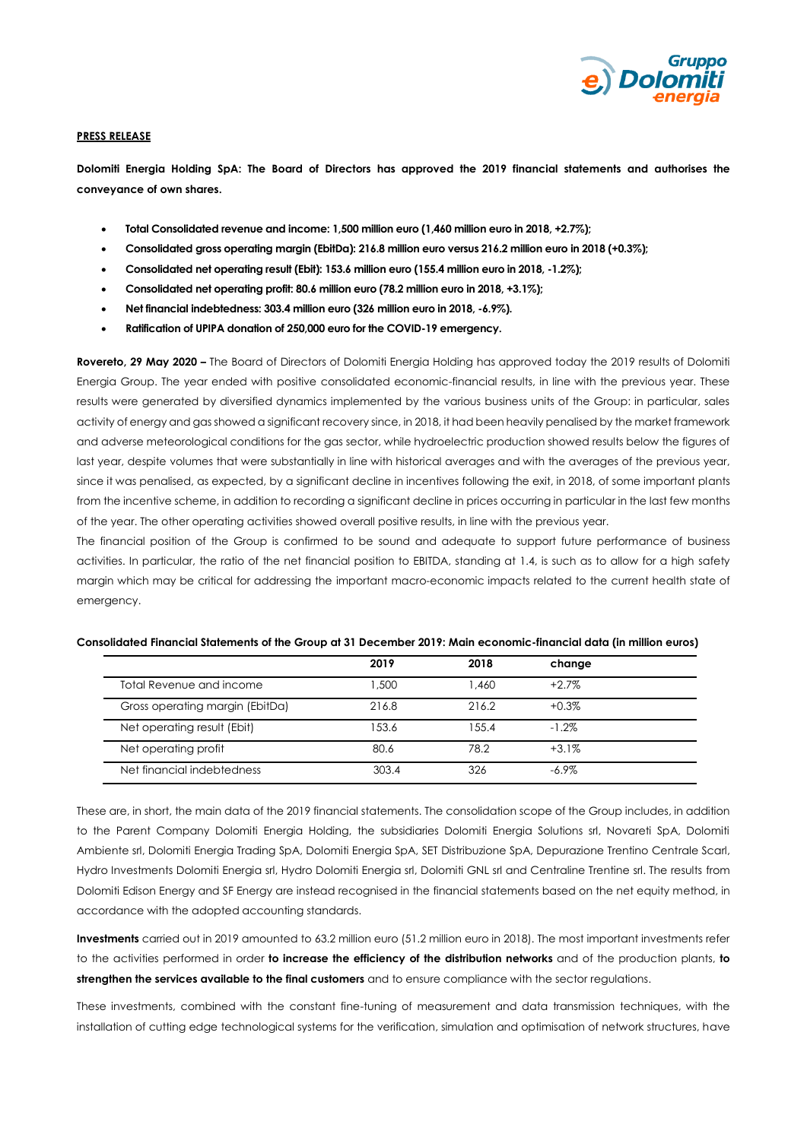

### **PRESS RELEASE**

**Dolomiti Energia Holding SpA: The Board of Directors has approved the 2019 financial statements and authorises the conveyance of own shares.**

- **Total Consolidated revenue and income: 1,500 million euro (1,460 million euro in 2018, +2.7%);**
- **Consolidated gross operating margin (EbitDa): 216.8 million euro versus 216.2 million euro in 2018 (+0.3%);**
- **Consolidated net operating result (Ebit): 153.6 million euro (155.4 million euro in 2018, -1.2%);**
- **Consolidated net operating profit: 80.6 million euro (78.2 million euro in 2018, +3.1%);**
- **Net financial indebtedness: 303.4 million euro (326 million euro in 2018, -6.9%).**
- **Ratification of UPIPA donation of 250,000 euro for the COVID-19 emergency.**

**Rovereto, 29 May 2020 –** The Board of Directors of Dolomiti Energia Holding has approved today the 2019 results of Dolomiti Energia Group. The year ended with positive consolidated economic-financial results, in line with the previous year. These results were generated by diversified dynamics implemented by the various business units of the Group: in particular, sales activity of energy and gas showed a significant recovery since, in 2018, it had been heavily penalised by the market framework and adverse meteorological conditions for the gas sector, while hydroelectric production showed results below the figures of last year, despite volumes that were substantially in line with historical averages and with the averages of the previous year, since it was penalised, as expected, by a significant decline in incentives following the exit, in 2018, of some important plants from the incentive scheme, in addition to recording a significant decline in prices occurring in particular in the last few months of the year. The other operating activities showed overall positive results, in line with the previous year.

The financial position of the Group is confirmed to be sound and adequate to support future performance of business activities. In particular, the ratio of the net financial position to EBITDA, standing at 1.4, is such as to allow for a high safety margin which may be critical for addressing the important macro-economic impacts related to the current health state of emergency.

|                                 | 2019  | 2018    | change   |  |
|---------------------------------|-------|---------|----------|--|
| Total Revenue and income        | 1,500 | 1.460   | $+2.7\%$ |  |
| Gross operating margin (EbitDa) | 216.8 | 216.2   | $+0.3%$  |  |
| Net operating result (Ebit)     | 153.6 | 1.5.5.4 | $-1.2\%$ |  |
| Net operating profit            | 80.6  | 78.2    | $+3.1%$  |  |
| Net financial indebtedness      | 303.4 | 326     | $-6.9\%$ |  |

# **Consolidated Financial Statements of the Group at 31 December 2019: Main economic-financial data (in million euros)**

These are, in short, the main data of the 2019 financial statements. The consolidation scope of the Group includes, in addition to the Parent Company Dolomiti Energia Holding, the subsidiaries Dolomiti Energia Solutions srl, Novareti SpA, Dolomiti Ambiente srl, Dolomiti Energia Trading SpA, Dolomiti Energia SpA, SET Distribuzione SpA, Depurazione Trentino Centrale Scarl, Hydro Investments Dolomiti Energia srl, Hydro Dolomiti Energia srl, Dolomiti GNL srl and Centraline Trentine srl. The results from Dolomiti Edison Energy and SF Energy are instead recognised in the financial statements based on the net equity method, in accordance with the adopted accounting standards.

**Investments** carried out in 2019 amounted to 63.2 million euro (51.2 million euro in 2018). The most important investments refer to the activities performed in order **to increase the efficiency of the distribution networks** and of the production plants, **to strengthen the services available to the final customers** and to ensure compliance with the sector regulations.

These investments, combined with the constant fine-tuning of measurement and data transmission techniques, with the installation of cutting edge technological systems for the verification, simulation and optimisation of network structures, have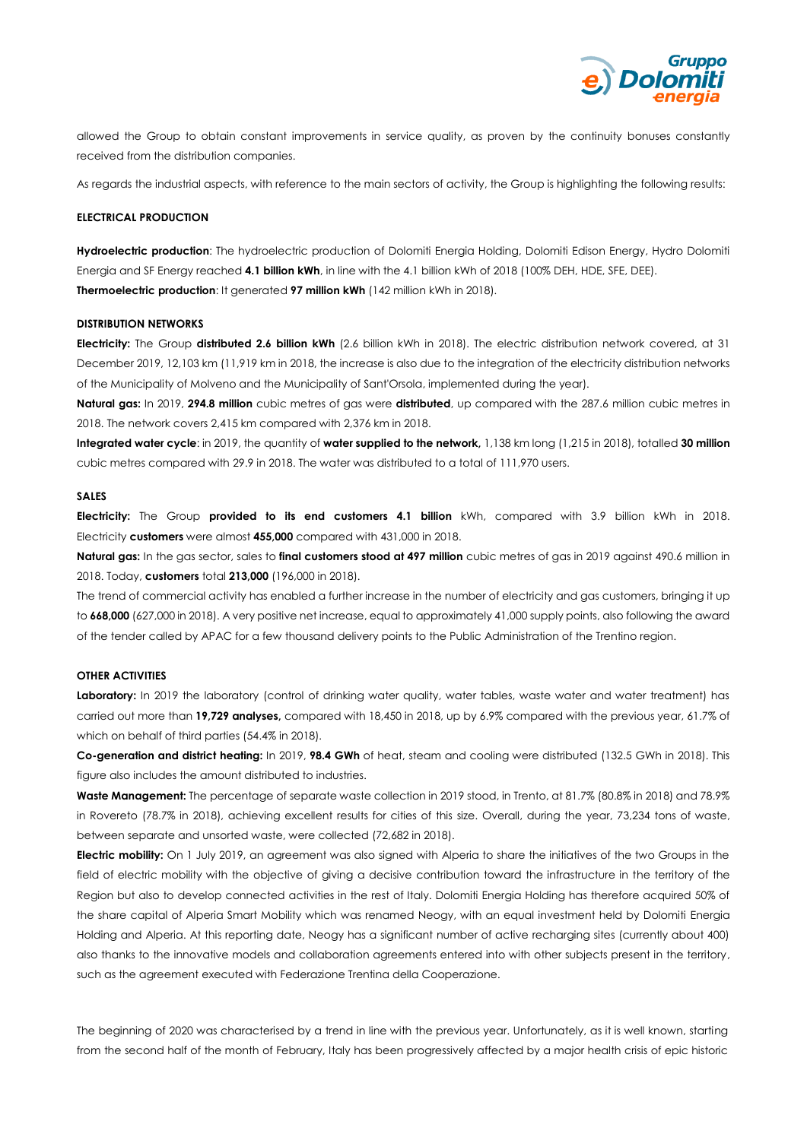

allowed the Group to obtain constant improvements in service quality, as proven by the continuity bonuses constantly received from the distribution companies.

As regards the industrial aspects, with reference to the main sectors of activity, the Group is highlighting the following results:

# **ELECTRICAL PRODUCTION**

**Hydroelectric production**: The hydroelectric production of Dolomiti Energia Holding, Dolomiti Edison Energy, Hydro Dolomiti Energia and SF Energy reached **4.1 billion kWh**, in line with the 4.1 billion kWh of 2018 (100% DEH, HDE, SFE, DEE). **Thermoelectric production:** It generated **97 million kWh** (142 million kWh in 2018).

### **DISTRIBUTION NETWORKS**

**Electricity:** The Group **distributed 2.6 billion kWh** (2.6 billion kWh in 2018). The electric distribution network covered, at 31 December 2019, 12,103 km (11,919 km in 2018, the increase is also due to the integration of the electricity distribution networks of the Municipality of Molveno and the Municipality of Sant'Orsola, implemented during the year).

**Natural gas:** In 2019, **294.8 million** cubic metres of gas were **distributed**, up compared with the 287.6 million cubic metres in 2018. The network covers 2,415 km compared with 2,376 km in 2018.

**Integrated water cycle**: in 2019, the quantity of **water supplied to the network,** 1,138 km long (1,215 in 2018), totalled **30 million**  cubic metres compared with 29.9 in 2018. The water was distributed to a total of 111,970 users.

# **SALES**

**Electricity:** The Group **provided to its end customers 4.1 billion** kWh, compared with 3.9 billion kWh in 2018. Electricity **customers** were almost **455,000** compared with 431,000 in 2018.

**Natural gas:** In the gas sector, sales to **final customers stood at 497 million** cubic metres of gas in 2019 against 490.6 million in 2018. Today, **customers** total **213,000** (196,000 in 2018).

The trend of commercial activity has enabled a further increase in the number of electricity and gas customers, bringing it up to **668,000** (627,000 in 2018). A very positive net increase, equal to approximately 41,000 supply points, also following the award of the tender called by APAC for a few thousand delivery points to the Public Administration of the Trentino region.

### **OTHER ACTIVITIES**

Laboratory: In 2019 the laboratory (control of drinking water quality, water tables, waste water and water treatment) has carried out more than **19,729 analyses,** compared with 18,450 in 2018, up by 6.9% compared with the previous year, 61.7% of which on behalf of third parties (54.4% in 2018).

**Co-generation and district heating:** In 2019, **98.4 GWh** of heat, steam and cooling were distributed (132.5 GWh in 2018). This figure also includes the amount distributed to industries.

**Waste Management:** The percentage of separate waste collection in 2019 stood, in Trento, at 81.7% (80.8% in 2018) and 78.9% in Rovereto (78.7% in 2018), achieving excellent results for cities of this size. Overall, during the year, 73,234 tons of waste, between separate and unsorted waste, were collected (72,682 in 2018).

**Electric mobility:** On 1 July 2019, an agreement was also signed with Alperia to share the initiatives of the two Groups in the field of electric mobility with the objective of giving a decisive contribution toward the infrastructure in the territory of the Region but also to develop connected activities in the rest of Italy. Dolomiti Energia Holding has therefore acquired 50% of the share capital of Alperia Smart Mobility which was renamed Neogy, with an equal investment held by Dolomiti Energia Holding and Alperia. At this reporting date, Neogy has a significant number of active recharging sites (currently about 400) also thanks to the innovative models and collaboration agreements entered into with other subjects present in the territory, such as the agreement executed with Federazione Trentina della Cooperazione.

The beginning of 2020 was characterised by a trend in line with the previous year. Unfortunately, as it is well known, starting from the second half of the month of February, Italy has been progressively affected by a major health crisis of epic historic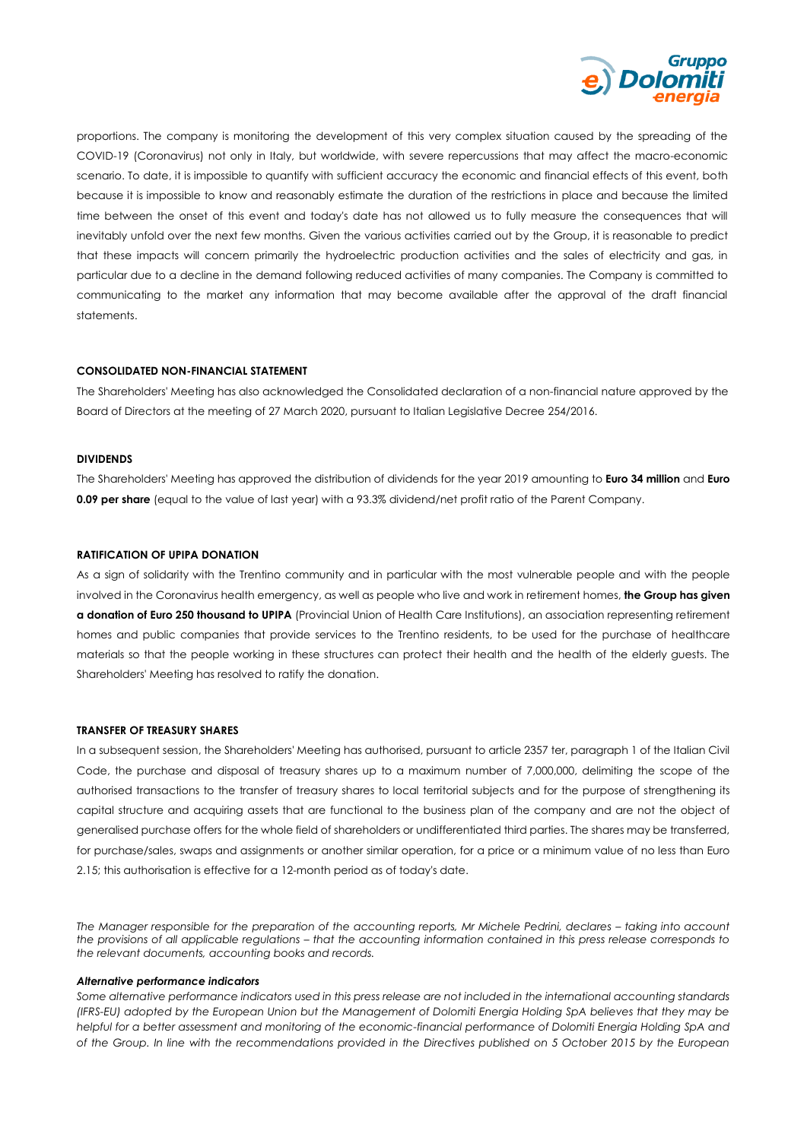

proportions. The company is monitoring the development of this very complex situation caused by the spreading of the COVID-19 (Coronavirus) not only in Italy, but worldwide, with severe repercussions that may affect the macro-economic scenario. To date, it is impossible to quantify with sufficient accuracy the economic and financial effects of this event, both because it is impossible to know and reasonably estimate the duration of the restrictions in place and because the limited time between the onset of this event and today's date has not allowed us to fully measure the consequences that will inevitably unfold over the next few months. Given the various activities carried out by the Group, it is reasonable to predict that these impacts will concern primarily the hydroelectric production activities and the sales of electricity and gas, in particular due to a decline in the demand following reduced activities of many companies. The Company is committed to communicating to the market any information that may become available after the approval of the draft financial statements.

### **CONSOLIDATED NON-FINANCIAL STATEMENT**

The Shareholders' Meeting has also acknowledged the Consolidated declaration of a non-financial nature approved by the Board of Directors at the meeting of 27 March 2020, pursuant to Italian Legislative Decree 254/2016.

### **DIVIDENDS**

The Shareholders' Meeting has approved the distribution of dividends for the year 2019 amounting to **Euro 34 million** and **Euro 0.09 per share** (equal to the value of last year) with a 93.3% dividend/net profit ratio of the Parent Company.

### **RATIFICATION OF UPIPA DONATION**

As a sign of solidarity with the Trentino community and in particular with the most vulnerable people and with the people involved in the Coronavirus health emergency, as well as people who live and work in retirement homes, **the Group has given a donation of Euro 250 thousand to UPIPA** (Provincial Union of Health Care Institutions), an association representing retirement homes and public companies that provide services to the Trentino residents, to be used for the purchase of healthcare materials so that the people working in these structures can protect their health and the health of the elderly guests. The Shareholders' Meeting has resolved to ratify the donation.

### **TRANSFER OF TREASURY SHARES**

In a subsequent session, the Shareholders' Meeting has authorised, pursuant to article 2357 ter, paragraph 1 of the Italian Civil Code, the purchase and disposal of treasury shares up to a maximum number of 7,000,000, delimiting the scope of the authorised transactions to the transfer of treasury shares to local territorial subjects and for the purpose of strengthening its capital structure and acquiring assets that are functional to the business plan of the company and are not the object of generalised purchase offers for the whole field of shareholders or undifferentiated third parties. The shares may be transferred, for purchase/sales, swaps and assignments or another similar operation, for a price or a minimum value of no less than Euro 2.15; this authorisation is effective for a 12-month period as of today's date.

*The Manager responsible for the preparation of the accounting reports, Mr Michele Pedrini, declares - taking into account the provisions of all applicable regulations - that the accounting information contained in this press release corresponds to the relevant documents, accounting books and records.* 

### *Alternative performance indicators*

*Some alternative performance indicators used in this press release are not included in the international accounting standards (IFRS-EU) adopted by the European Union but the Management of Dolomiti Energia Holding SpA believes that they may be helpful for a better assessment and monitoring of the economic-financial performance of Dolomiti Energia Holding SpA and of the Group. In line with the recommendations provided in the Directives published on 5 October 2015 by the European*